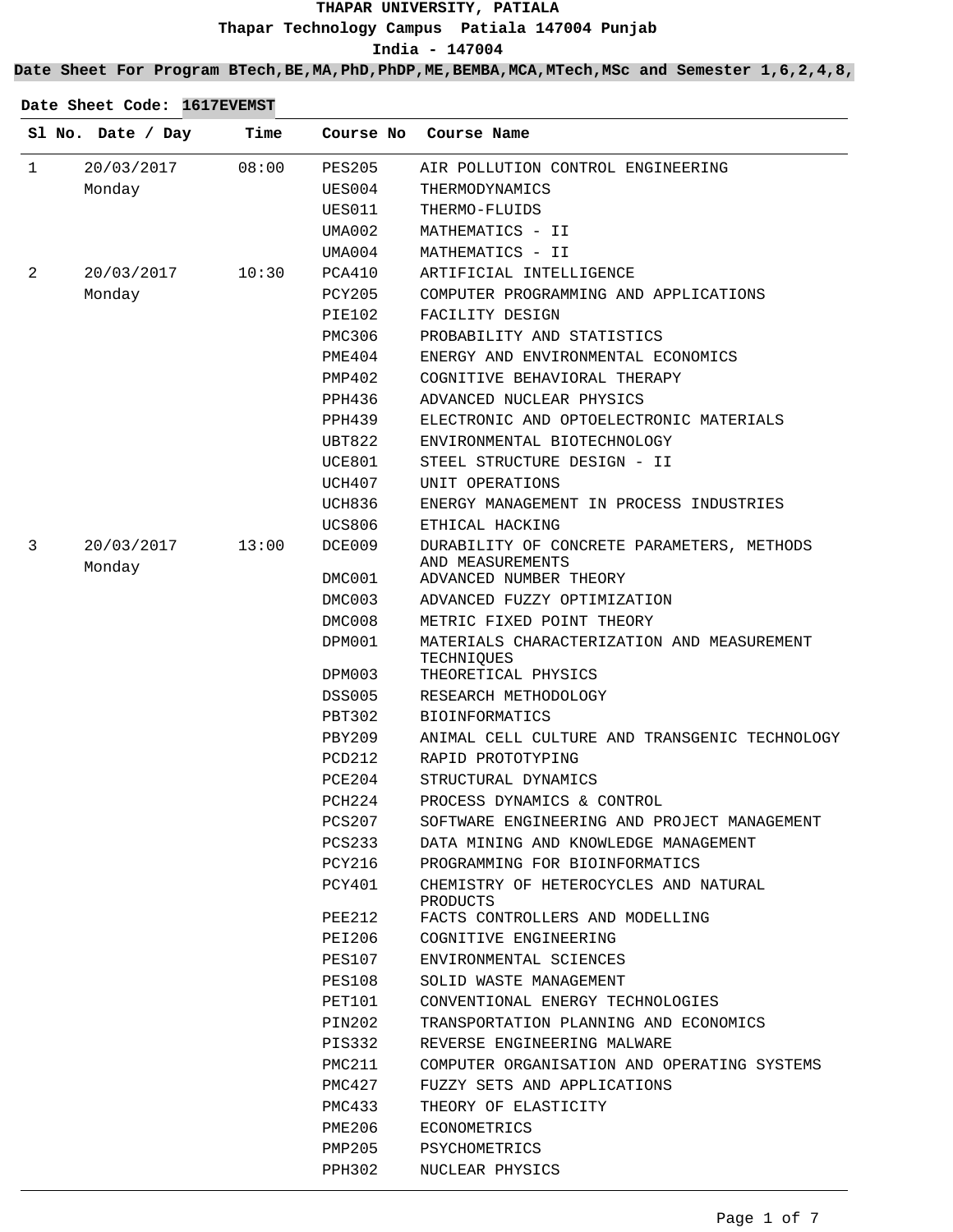**India - 147004**

**Date Sheet For Program BTech,BE,MA,PhD,PhDP,ME,BEMBA,MCA,MTech,MSc and Semester 1,6,2,4,8,**

|              | Sl No. Date / Day    | Time  | Course No        | Course Name                                                                     |
|--------------|----------------------|-------|------------------|---------------------------------------------------------------------------------|
| $\mathbf{1}$ | 20/03/2017           | 08:00 | <b>PES205</b>    | AIR POLLUTION CONTROL ENGINEERING                                               |
|              | Monday               |       | UES004           | THERMODYNAMICS                                                                  |
|              |                      |       | UES011           | THERMO-FLUIDS                                                                   |
|              |                      |       | UMA002           | MATHEMATICS - II                                                                |
|              |                      |       | UMA004           | MATHEMATICS - II                                                                |
| 2            | 20/03/2017           | 10:30 | PCA410           | ARTIFICIAL INTELLIGENCE                                                         |
|              | Monday               |       | PCY205           | COMPUTER PROGRAMMING AND APPLICATIONS                                           |
|              |                      |       | PIE102           | FACILITY DESIGN                                                                 |
|              |                      |       | <b>PMC306</b>    | PROBABILITY AND STATISTICS                                                      |
|              |                      |       | PME404           | ENERGY AND ENVIRONMENTAL ECONOMICS                                              |
|              |                      |       | PMP402           | COGNITIVE BEHAVIORAL THERAPY                                                    |
|              |                      |       | PPH436           | ADVANCED NUCLEAR PHYSICS                                                        |
|              |                      |       | <b>PPH439</b>    | ELECTRONIC AND OPTOELECTRONIC MATERIALS                                         |
|              |                      |       | UBT822           | ENVIRONMENTAL BIOTECHNOLOGY                                                     |
|              |                      |       | UCE801           | STEEL STRUCTURE DESIGN - II                                                     |
|              |                      |       | UCH407           | UNIT OPERATIONS                                                                 |
|              |                      |       | UCH836           | ENERGY MANAGEMENT IN PROCESS INDUSTRIES                                         |
|              |                      |       | UCS806           | ETHICAL HACKING                                                                 |
| 3            | 20/03/2017<br>Monday | 13:00 | DCE009           | DURABILITY OF CONCRETE PARAMETERS, METHODS<br>AND MEASUREMENTS                  |
|              |                      |       | DMC001           | ADVANCED NUMBER THEORY                                                          |
|              |                      |       | DMC003           | ADVANCED FUZZY OPTIMIZATION                                                     |
|              |                      |       | DMC008           | METRIC FIXED POINT THEORY                                                       |
|              |                      |       | DPM001<br>DPM003 | MATERIALS CHARACTERIZATION AND MEASUREMENT<br>TECHNIQUES<br>THEORETICAL PHYSICS |
|              |                      |       | <b>DSS005</b>    | RESEARCH METHODOLOGY                                                            |
|              |                      |       | PBT302           | <b>BIOINFORMATICS</b>                                                           |
|              |                      |       | <b>PBY209</b>    | ANIMAL CELL CULTURE AND TRANSGENIC TECHNOLOGY                                   |
|              |                      |       | PCD212           | RAPID PROTOTYPING                                                               |
|              |                      |       | PCE204           | STRUCTURAL DYNAMICS                                                             |
|              |                      |       | PCH224           | PROCESS DYNAMICS & CONTROL                                                      |
|              |                      |       | PCS207           | SOFTWARE ENGINEERING AND PROJECT MANAGEMENT                                     |
|              |                      |       | PCS233           | DATA MINING AND KNOWLEDGE MANAGEMENT                                            |
|              |                      |       | PCY216           | PROGRAMMING FOR BIOINFORMATICS                                                  |
|              |                      |       | PCY401           | CHEMISTRY OF HETEROCYCLES AND NATURAL<br>PRODUCTS                               |
|              |                      |       | PEE212           | FACTS CONTROLLERS AND MODELLING                                                 |
|              |                      |       | PEI206           | COGNITIVE ENGINEERING                                                           |
|              |                      |       | <b>PES107</b>    | ENVIRONMENTAL SCIENCES                                                          |
|              |                      |       | PES108           | SOLID WASTE MANAGEMENT                                                          |
|              |                      |       | PET101           | CONVENTIONAL ENERGY TECHNOLOGIES                                                |
|              |                      |       | PIN202           | TRANSPORTATION PLANNING AND ECONOMICS                                           |
|              |                      |       | PIS332           | REVERSE ENGINEERING MALWARE                                                     |
|              |                      |       | PMC211           | COMPUTER ORGANISATION AND OPERATING SYSTEMS                                     |
|              |                      |       | PMC427           | FUZZY SETS AND APPLICATIONS                                                     |
|              |                      |       | PMC433           | THEORY OF ELASTICITY                                                            |
|              |                      |       | PME206           | ECONOMETRICS                                                                    |
|              |                      |       | PMP205           | PSYCHOMETRICS                                                                   |

PPH302 NUCLEAR PHYSICS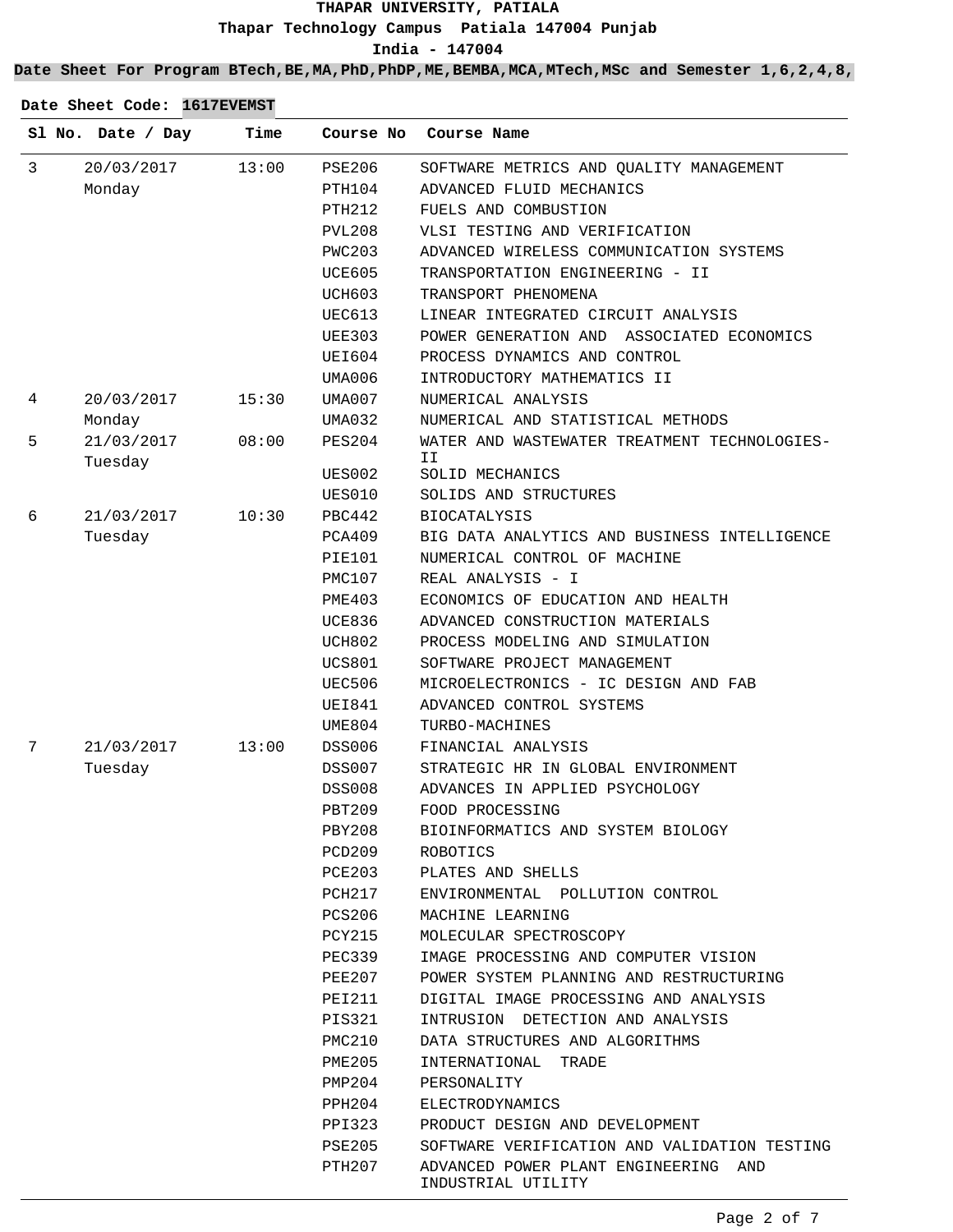**India - 147004**

**Date Sheet For Program BTech,BE,MA,PhD,PhDP,ME,BEMBA,MCA,MTech,MSc and Semester 1,6,2,4,8,**

|   | Sl No. Date / Day     | Time  | Course No     | Course Name                                                |
|---|-----------------------|-------|---------------|------------------------------------------------------------|
| 3 | 20/03/2017            | 13:00 | <b>PSE206</b> | SOFTWARE METRICS AND QUALITY MANAGEMENT                    |
|   | Monday                |       | PTH104        | ADVANCED FLUID MECHANICS                                   |
|   |                       |       | <b>PTH212</b> | FUELS AND COMBUSTION                                       |
|   |                       |       | <b>PVL208</b> | VLSI TESTING AND VERIFICATION                              |
|   |                       |       | <b>PWC203</b> | ADVANCED WIRELESS COMMUNICATION SYSTEMS                    |
|   |                       |       | <b>UCE605</b> | TRANSPORTATION ENGINEERING - II                            |
|   |                       |       | <b>UCH603</b> | TRANSPORT PHENOMENA                                        |
|   |                       |       | UEC613        | LINEAR INTEGRATED CIRCUIT ANALYSIS                         |
|   |                       |       | <b>UEE303</b> | POWER GENERATION AND ASSOCIATED ECONOMICS                  |
|   |                       |       | UEI604        | PROCESS DYNAMICS AND CONTROL                               |
|   |                       |       | UMA006        | INTRODUCTORY MATHEMATICS II                                |
| 4 | 20/03/2017            | 15:30 | UMA007        | NUMERICAL ANALYSIS                                         |
|   | Monday                |       | UMA032        | NUMERICAL AND STATISTICAL METHODS                          |
| 5 | 21/03/2017<br>Tuesday | 08:00 | <b>PES204</b> | WATER AND WASTEWATER TREATMENT TECHNOLOGIES-<br>ΙI         |
|   |                       |       | <b>UES002</b> | SOLID MECHANICS                                            |
|   |                       |       | <b>UES010</b> | SOLIDS AND STRUCTURES                                      |
| 6 | 21/03/2017            | 10:30 | PBC442        | <b>BIOCATALYSIS</b>                                        |
|   | Tuesday               |       | PCA409        | BIG DATA ANALYTICS AND BUSINESS INTELLIGENCE               |
|   |                       |       | PIE101        | NUMERICAL CONTROL OF MACHINE                               |
|   |                       |       | PMC107        | REAL ANALYSIS - I                                          |
|   |                       |       | <b>PME403</b> | ECONOMICS OF EDUCATION AND HEALTH                          |
|   |                       |       | <b>UCE836</b> | ADVANCED CONSTRUCTION MATERIALS                            |
|   |                       |       | <b>UCH802</b> | PROCESS MODELING AND SIMULATION                            |
|   |                       |       | <b>UCS801</b> | SOFTWARE PROJECT MANAGEMENT                                |
|   |                       |       | <b>UEC506</b> | MICROELECTRONICS - IC DESIGN AND FAB                       |
|   |                       |       | <b>UEI841</b> | ADVANCED CONTROL SYSTEMS                                   |
|   |                       |       | UME804        | TURBO-MACHINES                                             |
| 7 | 21/03/2017            | 13:00 | <b>DSS006</b> | FINANCIAL ANALYSIS                                         |
|   | Tuesday               |       | DSS007        | STRATEGIC HR IN GLOBAL ENVIRONMENT                         |
|   |                       |       | <b>DSS008</b> | ADVANCES IN APPLIED PSYCHOLOGY                             |
|   |                       |       | <b>PBT209</b> | FOOD PROCESSING                                            |
|   |                       |       | PBY208        | BIOINFORMATICS AND SYSTEM BIOLOGY                          |
|   |                       |       | PCD209        | ROBOTICS                                                   |
|   |                       |       | PCE203        | PLATES AND SHELLS                                          |
|   |                       |       | PCH217        | ENVIRONMENTAL POLLUTION CONTROL                            |
|   |                       |       | PCS206        | MACHINE LEARNING                                           |
|   |                       |       | PCY215        | MOLECULAR SPECTROSCOPY                                     |
|   |                       |       | PEC339        | IMAGE PROCESSING AND COMPUTER VISION                       |
|   |                       |       | PEE207        | POWER SYSTEM PLANNING AND RESTRUCTURING                    |
|   |                       |       | PEI211        | DIGITAL IMAGE PROCESSING AND ANALYSIS                      |
|   |                       |       | PIS321        | INTRUSION DETECTION AND ANALYSIS                           |
|   |                       |       | PMC210        | DATA STRUCTURES AND ALGORITHMS                             |
|   |                       |       | PME205        | INTERNATIONAL<br>TRADE                                     |
|   |                       |       | PMP204        | PERSONALITY                                                |
|   |                       |       | PPH204        | ELECTRODYNAMICS                                            |
|   |                       |       | PPI323        | PRODUCT DESIGN AND DEVELOPMENT                             |
|   |                       |       | PSE205        | SOFTWARE VERIFICATION AND VALIDATION TESTING               |
|   |                       |       | PTH207        | ADVANCED POWER PLANT ENGINEERING AND<br>INDUSTRIAL UTILITY |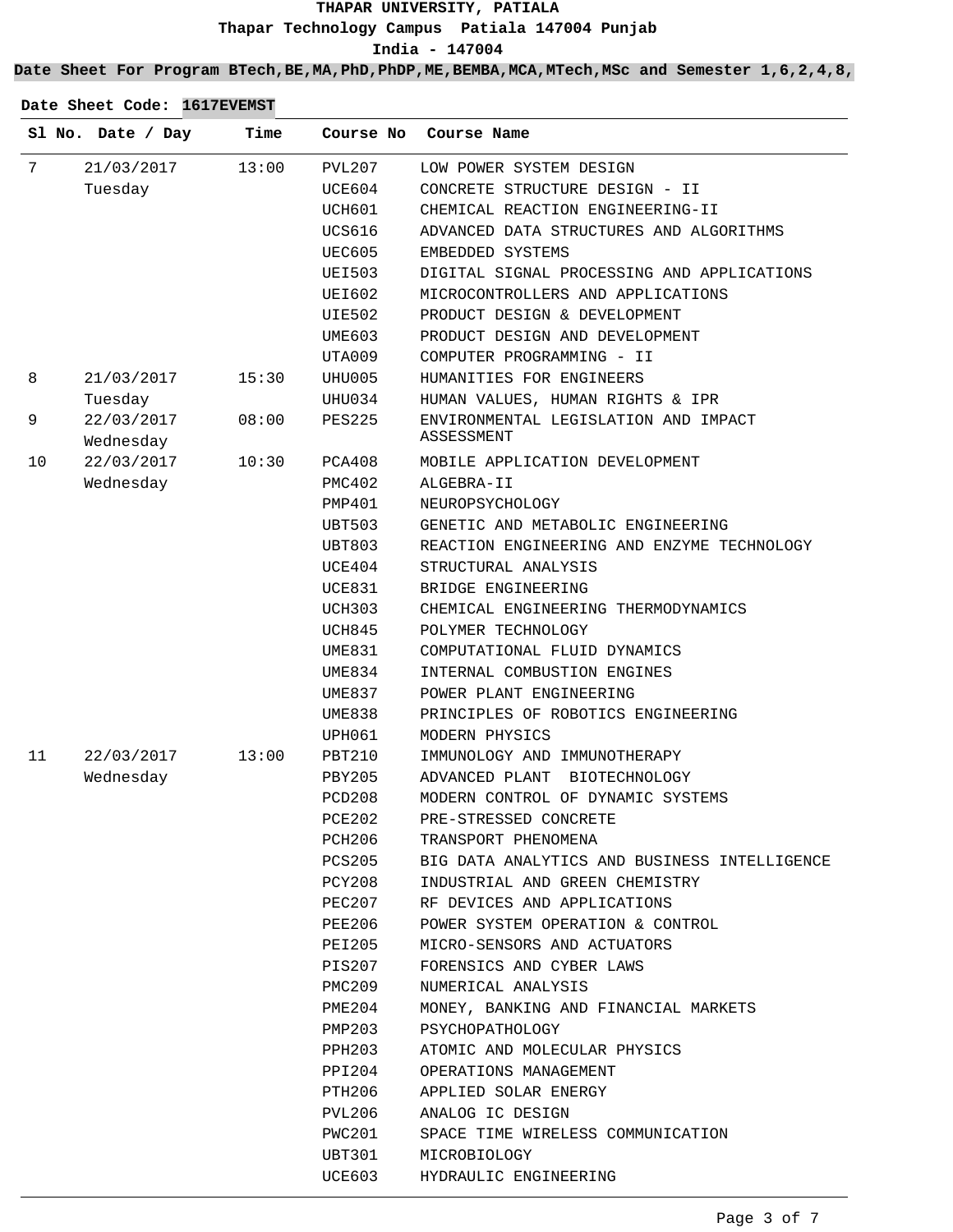**India - 147004**

**Date Sheet For Program BTech,BE,MA,PhD,PhDP,ME,BEMBA,MCA,MTech,MSc and Semester 1,6,2,4,8,**

|    | Sl No. Date / Day       | Time  | Course No          | Course Name                                        |
|----|-------------------------|-------|--------------------|----------------------------------------------------|
| 7  | 21/03/2017              | 13:00 | PVL207             | LOW POWER SYSTEM DESIGN                            |
|    | Tuesday                 |       | UCE604             | CONCRETE STRUCTURE DESIGN - II                     |
|    |                         |       | UCH601             | CHEMICAL REACTION ENGINEERING-II                   |
|    |                         |       | UCS616             | ADVANCED DATA STRUCTURES AND ALGORITHMS            |
|    |                         |       | UEC605             | EMBEDDED SYSTEMS                                   |
|    |                         |       | <b>UEI503</b>      | DIGITAL SIGNAL PROCESSING AND APPLICATIONS         |
|    |                         |       | UEI602             | MICROCONTROLLERS AND APPLICATIONS                  |
|    |                         |       | <b>UIE502</b>      | PRODUCT DESIGN & DEVELOPMENT                       |
|    |                         |       | UME603             | PRODUCT DESIGN AND DEVELOPMENT                     |
|    |                         |       | UTA009             | COMPUTER PROGRAMMING - II                          |
| 8  | 21/03/2017              | 15:30 | UHU005             | HUMANITIES FOR ENGINEERS                           |
|    | Tuesday                 |       | UHU034             | HUMAN VALUES, HUMAN RIGHTS & IPR                   |
| 9  | 22/03/2017<br>Wednesday | 08:00 | <b>PES225</b>      | ENVIRONMENTAL LEGISLATION AND IMPACT<br>ASSESSMENT |
| 10 | 22/03/2017              | 10:30 | PCA408             | MOBILE APPLICATION DEVELOPMENT                     |
|    | Wednesday               |       | PMC402             | ALGEBRA-II                                         |
|    |                         |       | PMP401             | NEUROPSYCHOLOGY                                    |
|    |                         |       | UBT503             | GENETIC AND METABOLIC ENGINEERING                  |
|    |                         |       | UBT803             | REACTION ENGINEERING AND ENZYME TECHNOLOGY         |
|    |                         |       | UCE404             | STRUCTURAL ANALYSIS                                |
|    |                         |       | UCE831             | BRIDGE ENGINEERING                                 |
|    |                         |       | UCH303             | CHEMICAL ENGINEERING THERMODYNAMICS                |
|    |                         |       | UCH845             | POLYMER TECHNOLOGY                                 |
|    |                         |       | UME831             | COMPUTATIONAL FLUID DYNAMICS                       |
|    |                         |       | UME834             | INTERNAL COMBUSTION ENGINES                        |
|    |                         |       | UME837             | POWER PLANT ENGINEERING                            |
|    |                         |       | <b>UME838</b>      | PRINCIPLES OF ROBOTICS ENGINEERING                 |
|    |                         |       | UPH061             | MODERN PHYSICS                                     |
| 11 | 22/03/2017              | 13:00 | PBT210             | IMMUNOLOGY AND IMMUNOTHERAPY                       |
|    | Wednesday               |       | PBY205             | ADVANCED PLANT<br>BIOTECHNOLOGY                    |
|    |                         |       | PCD <sub>208</sub> | MODERN CONTROL OF DYNAMIC SYSTEMS                  |
|    |                         |       | <b>PCE202</b>      | PRE-STRESSED CONCRETE                              |
|    |                         |       | PCH206             | TRANSPORT PHENOMENA                                |
|    |                         |       | PCS205             | BIG DATA ANALYTICS AND BUSINESS INTELLIGENCE       |
|    |                         |       | PCY208             | INDUSTRIAL AND GREEN CHEMISTRY                     |
|    |                         |       | PEC207             | RF DEVICES AND APPLICATIONS                        |
|    |                         |       | PEE206             | POWER SYSTEM OPERATION & CONTROL                   |
|    |                         |       | PEI205             | MICRO-SENSORS AND ACTUATORS                        |
|    |                         |       | PIS207             | FORENSICS AND CYBER LAWS                           |
|    |                         |       | PMC209             | NUMERICAL ANALYSIS                                 |
|    |                         |       | PME204             | MONEY, BANKING AND FINANCIAL MARKETS               |
|    |                         |       | PMP203             | PSYCHOPATHOLOGY                                    |
|    |                         |       | PPH203             | ATOMIC AND MOLECULAR PHYSICS                       |
|    |                         |       | PPI204             | OPERATIONS MANAGEMENT                              |
|    |                         |       | PTH206             | APPLIED SOLAR ENERGY                               |
|    |                         |       | PVL206             | ANALOG IC DESIGN                                   |
|    |                         |       | PWC201             | SPACE TIME WIRELESS COMMUNICATION                  |
|    |                         |       | UBT301             | MICROBIOLOGY                                       |
|    |                         |       | UCE603             | HYDRAULIC ENGINEERING                              |
|    |                         |       |                    |                                                    |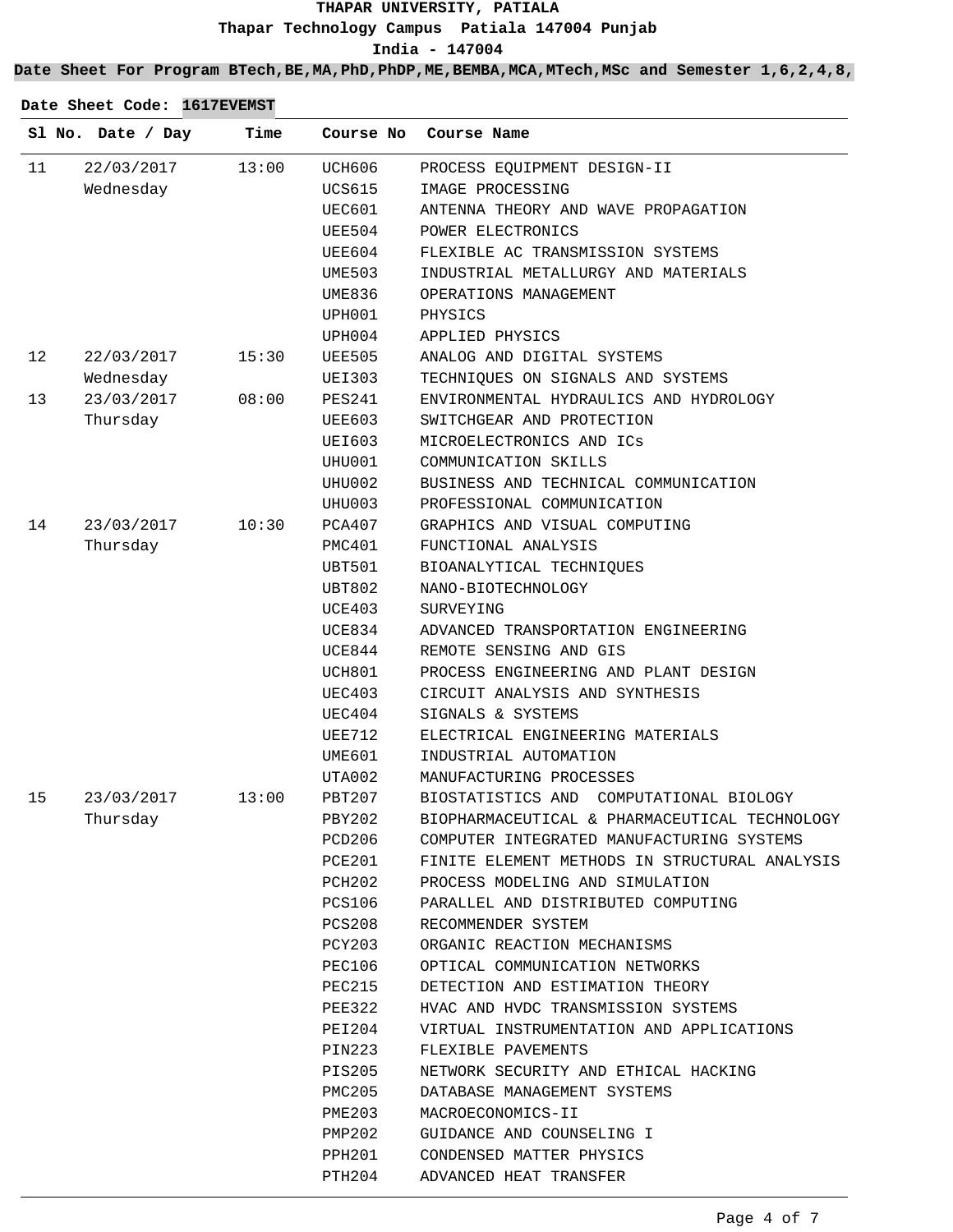**India - 147004**

**Date Sheet For Program BTech,BE,MA,PhD,PhDP,ME,BEMBA,MCA,MTech,MSc and Semester 1,6,2,4,8,**

|    | Sl No. Date / Day | Time  | Course No     | Course Name                                   |
|----|-------------------|-------|---------------|-----------------------------------------------|
| 11 | 22/03/2017        | 13:00 | UCH606        | PROCESS EQUIPMENT DESIGN-II                   |
|    | Wednesday         |       | UCS615        | IMAGE PROCESSING                              |
|    |                   |       | UEC601        | ANTENNA THEORY AND WAVE PROPAGATION           |
|    |                   |       | UEE504        | POWER ELECTRONICS                             |
|    |                   |       | UEE604        | FLEXIBLE AC TRANSMISSION SYSTEMS              |
|    |                   |       | UME503        | INDUSTRIAL METALLURGY AND MATERIALS           |
|    |                   |       | UME836        | OPERATIONS MANAGEMENT                         |
|    |                   |       | UPH001        | PHYSICS                                       |
|    |                   |       | UPH004        | APPLIED PHYSICS                               |
| 12 | 22/03/2017        | 15:30 | UEE505        | ANALOG AND DIGITAL SYSTEMS                    |
|    | Wednesday         |       | <b>UEI303</b> | TECHNIQUES ON SIGNALS AND SYSTEMS             |
| 13 | 23/03/2017        | 08:00 | PES241        | ENVIRONMENTAL HYDRAULICS AND HYDROLOGY        |
|    | Thursday          |       | UEE603        | SWITCHGEAR AND PROTECTION                     |
|    |                   |       | <b>UEI603</b> | MICROELECTRONICS AND ICS                      |
|    |                   |       | UHU001        | COMMUNICATION SKILLS                          |
|    |                   |       | UHU002        | BUSINESS AND TECHNICAL COMMUNICATION          |
|    |                   |       | UHU003        | PROFESSIONAL COMMUNICATION                    |
| 14 | 23/03/2017        | 10:30 | PCA407        | GRAPHICS AND VISUAL COMPUTING                 |
|    | Thursday          |       | PMC401        | FUNCTIONAL ANALYSIS                           |
|    |                   |       | UBT501        | BIOANALYTICAL TECHNIQUES                      |
|    |                   |       | UBT802        | NANO-BIOTECHNOLOGY                            |
|    |                   |       | UCE403        | SURVEYING                                     |
|    |                   |       | UCE834        | ADVANCED TRANSPORTATION ENGINEERING           |
|    |                   |       | UCE844        | REMOTE SENSING AND GIS                        |
|    |                   |       | UCH801        | PROCESS ENGINEERING AND PLANT DESIGN          |
|    |                   |       | UEC403        | CIRCUIT ANALYSIS AND SYNTHESIS                |
|    |                   |       | UEC404        | SIGNALS & SYSTEMS                             |
|    |                   |       | UEE712        | ELECTRICAL ENGINEERING MATERIALS              |
|    |                   |       | UME601        | INDUSTRIAL AUTOMATION                         |
|    |                   |       | UTA002        | MANUFACTURING PROCESSES                       |
| 15 | 23/03/2017        | 13:00 | PBT207        | BIOSTATISTICS AND COMPUTATIONAL BIOLOGY       |
|    | Thursday          |       | PBY202        | BIOPHARMACEUTICAL & PHARMACEUTICAL TECHNOLOGY |
|    |                   |       | PCD206        | COMPUTER INTEGRATED MANUFACTURING SYSTEMS     |
|    |                   |       | PCE201        | FINITE ELEMENT METHODS IN STRUCTURAL ANALYSIS |
|    |                   |       | PCH202        | PROCESS MODELING AND SIMULATION               |
|    |                   |       | PCS106        | PARALLEL AND DISTRIBUTED COMPUTING            |
|    |                   |       | PCS208        | RECOMMENDER SYSTEM                            |
|    |                   |       | PCY203        | ORGANIC REACTION MECHANISMS                   |
|    |                   |       | PEC106        | OPTICAL COMMUNICATION NETWORKS                |
|    |                   |       | PEC215        | DETECTION AND ESTIMATION THEORY               |
|    |                   |       | PEE322        | HVAC AND HVDC TRANSMISSION SYSTEMS            |
|    |                   |       | PEI204        | VIRTUAL INSTRUMENTATION AND APPLICATIONS      |
|    |                   |       | PIN223        | FLEXIBLE PAVEMENTS                            |
|    |                   |       | PIS205        | NETWORK SECURITY AND ETHICAL HACKING          |
|    |                   |       | PMC205        | DATABASE MANAGEMENT SYSTEMS                   |
|    |                   |       | PME203        | MACROECONOMICS-II                             |
|    |                   |       | PMP202        | GUIDANCE AND COUNSELING I                     |
|    |                   |       | PPH201        | CONDENSED MATTER PHYSICS                      |
|    |                   |       | PTH204        | ADVANCED HEAT TRANSFER                        |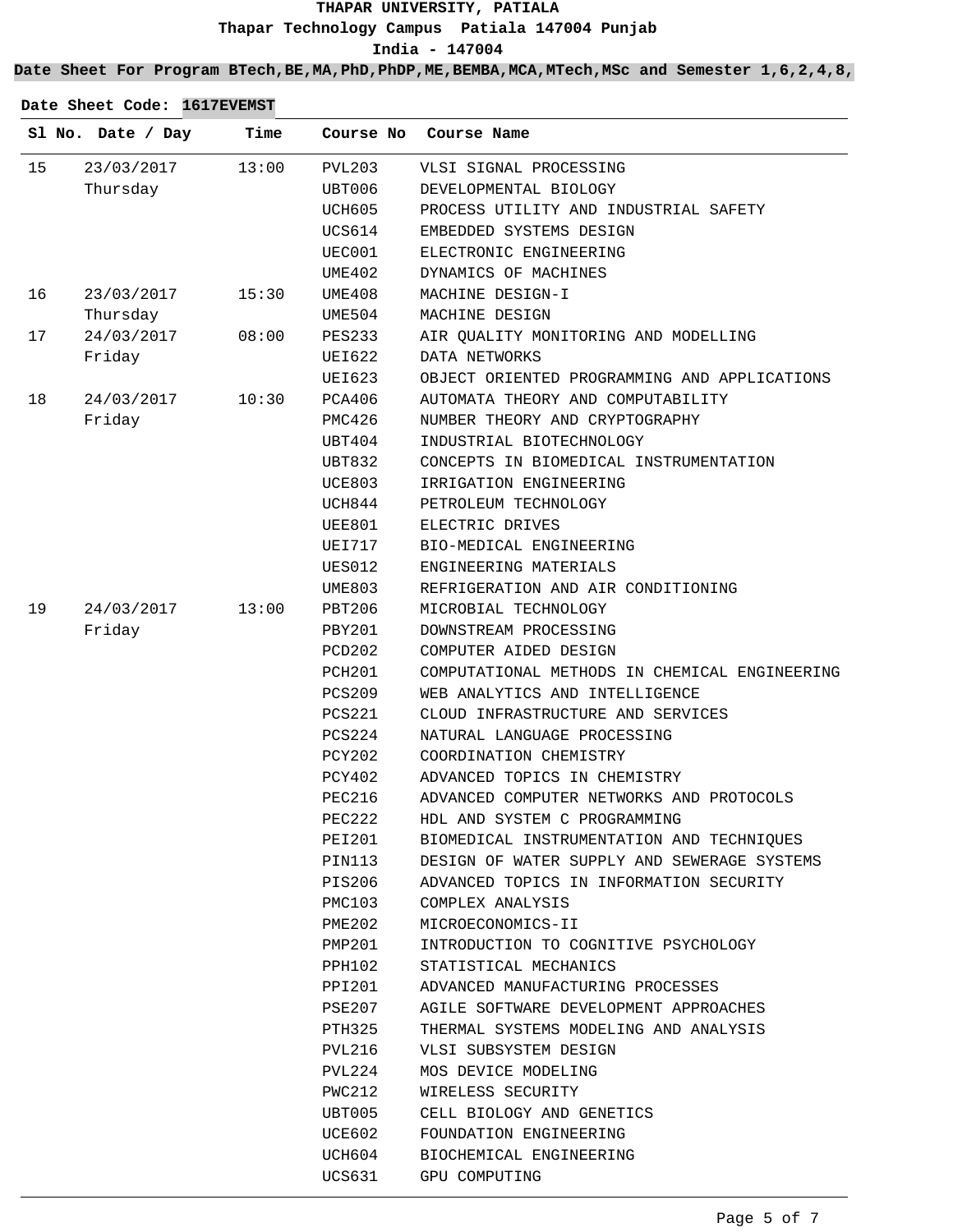**India - 147004**

**Date Sheet For Program BTech,BE,MA,PhD,PhDP,ME,BEMBA,MCA,MTech,MSc and Semester 1,6,2,4,8,**

|    | Sl No. Date / Day | Time  | Course No          | Course Name                                   |
|----|-------------------|-------|--------------------|-----------------------------------------------|
| 15 | 23/03/2017        | 13:00 | <b>PVL203</b>      | VLSI SIGNAL PROCESSING                        |
|    | Thursday          |       | UBT006             | DEVELOPMENTAL BIOLOGY                         |
|    |                   |       | UCH605             | PROCESS UTILITY AND INDUSTRIAL SAFETY         |
|    |                   |       | <b>UCS614</b>      | EMBEDDED SYSTEMS DESIGN                       |
|    |                   |       | UEC001             | ELECTRONIC ENGINEERING                        |
|    |                   |       | UME402             | DYNAMICS OF MACHINES                          |
| 16 | 23/03/2017        | 15:30 | UME408             | MACHINE DESIGN-I                              |
|    | Thursday          |       | UME504             | MACHINE DESIGN                                |
| 17 | 24/03/2017        | 08:00 | <b>PES233</b>      | AIR OUALITY MONITORING AND MODELLING          |
|    | Friday            |       | UEI622             | DATA NETWORKS                                 |
|    |                   |       | UEI623             | OBJECT ORIENTED PROGRAMMING AND APPLICATIONS  |
| 18 | 24/03/2017        | 10:30 | PCA406             | AUTOMATA THEORY AND COMPUTABILITY             |
|    | Friday            |       | <b>PMC426</b>      | NUMBER THEORY AND CRYPTOGRAPHY                |
|    |                   |       | UBT404             | INDUSTRIAL BIOTECHNOLOGY                      |
|    |                   |       | UBT832             | CONCEPTS IN BIOMEDICAL INSTRUMENTATION        |
|    |                   |       | <b>UCE803</b>      | IRRIGATION ENGINEERING                        |
|    |                   |       | UCH844             | PETROLEUM TECHNOLOGY                          |
|    |                   |       | <b>UEE801</b>      | ELECTRIC DRIVES                               |
|    |                   |       | <b>UEI717</b>      | BIO-MEDICAL ENGINEERING                       |
|    |                   |       | <b>UES012</b>      | ENGINEERING MATERIALS                         |
|    |                   |       | <b>UME803</b>      | REFRIGERATION AND AIR CONDITIONING            |
| 19 | 24/03/2017        | 13:00 | PBT206             | MICROBIAL TECHNOLOGY                          |
|    | Friday            |       | PBY201             | DOWNSTREAM PROCESSING                         |
|    |                   |       | PCD202             | COMPUTER AIDED DESIGN                         |
|    |                   |       | PCH <sub>201</sub> | COMPUTATIONAL METHODS IN CHEMICAL ENGINEERING |
|    |                   |       | <b>PCS209</b>      | WEB ANALYTICS AND INTELLIGENCE                |
|    |                   |       | <b>PCS221</b>      | CLOUD INFRASTRUCTURE AND SERVICES             |
|    |                   |       | PCS224             | NATURAL LANGUAGE PROCESSING                   |
|    |                   |       | PCY202             | COORDINATION CHEMISTRY                        |
|    |                   |       | PCY402             | ADVANCED TOPICS IN CHEMISTRY                  |
|    |                   |       | PEC216             | ADVANCED COMPUTER NETWORKS AND PROTOCOLS      |
|    |                   |       | PEC222             | HDL AND SYSTEM C PROGRAMMING                  |
|    |                   |       | PEI201             | BIOMEDICAL INSTRUMENTATION AND TECHNIOUES     |
|    |                   |       | PIN113             | DESIGN OF WATER SUPPLY AND SEWERAGE SYSTEMS   |
|    |                   |       | PIS206             | ADVANCED TOPICS IN INFORMATION SECURITY       |
|    |                   |       | PMC103             | COMPLEX ANALYSIS                              |
|    |                   |       | PME202             | MICROECONOMICS-II                             |
|    |                   |       | PMP201             | INTRODUCTION TO COGNITIVE PSYCHOLOGY          |
|    |                   |       | PPH102             | STATISTICAL MECHANICS                         |
|    |                   |       | PPI201             | ADVANCED MANUFACTURING PROCESSES              |
|    |                   |       | PSE207             | AGILE SOFTWARE DEVELOPMENT APPROACHES         |
|    |                   |       | PTH325             | THERMAL SYSTEMS MODELING AND ANALYSIS         |
|    |                   |       | PVL216             | VLSI SUBSYSTEM DESIGN                         |
|    |                   |       | PVL224             | MOS DEVICE MODELING                           |
|    |                   |       | PWC212             | WIRELESS SECURITY                             |
|    |                   |       | UBT005             | CELL BIOLOGY AND GENETICS                     |
|    |                   |       | UCE602             | FOUNDATION ENGINEERING                        |
|    |                   |       | UCH604             | BIOCHEMICAL ENGINEERING                       |
|    |                   |       | UCS631             | GPU COMPUTING                                 |
|    |                   |       |                    |                                               |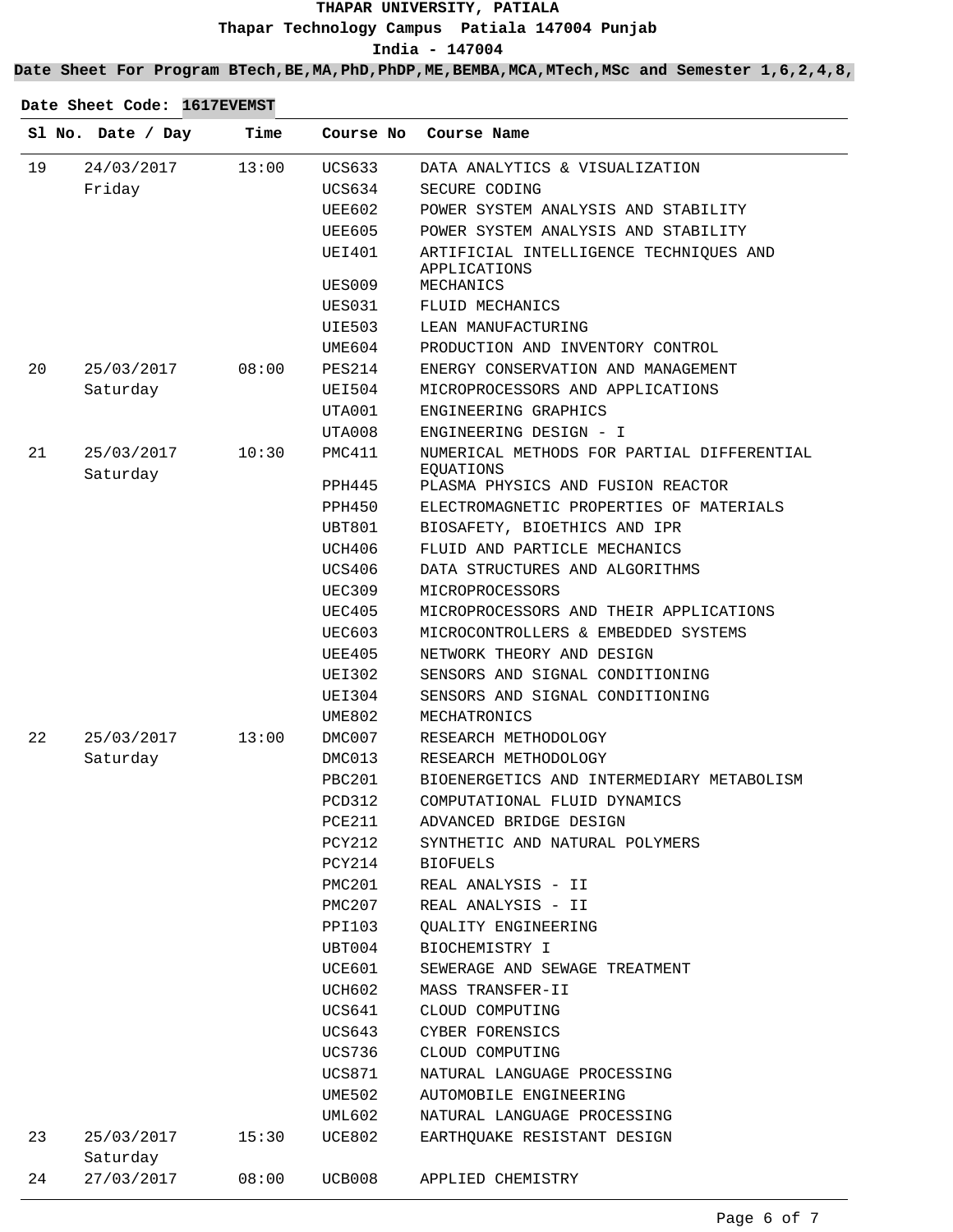**Date Sheet For Program BTech,BE,MA,PhD,PhDP,ME,BEMBA,MCA,MTech,MSc and Semester 1,6,2,4,8,**

|    | Sl No. Date / Day      | Time  | Course No     | Course Name                                             |
|----|------------------------|-------|---------------|---------------------------------------------------------|
| 19 | 24/03/2017             | 13:00 | <b>UCS633</b> | DATA ANALYTICS & VISUALIZATION                          |
|    | Friday                 |       | <b>UCS634</b> | SECURE CODING                                           |
|    |                        |       | UEE602        | POWER SYSTEM ANALYSIS AND STABILITY                     |
|    |                        |       | UEE605        | POWER SYSTEM ANALYSIS AND STABILITY                     |
|    |                        |       | <b>UEI401</b> | ARTIFICIAL INTELLIGENCE TECHNIQUES AND<br>APPLICATIONS  |
|    |                        |       | <b>UES009</b> | MECHANICS                                               |
|    |                        |       | UES031        | FLUID MECHANICS                                         |
|    |                        |       | UIE503        | LEAN MANUFACTURING                                      |
|    |                        |       | UME604        | PRODUCTION AND INVENTORY CONTROL                        |
| 20 | 25/03/2017             | 08:00 | <b>PES214</b> | ENERGY CONSERVATION AND MANAGEMENT                      |
|    | Saturday               |       | UEI504        | MICROPROCESSORS AND APPLICATIONS                        |
|    |                        |       | UTA001        | ENGINEERING GRAPHICS                                    |
|    |                        |       | UTA008        | ENGINEERING DESIGN - I                                  |
| 21 | 25/03/2017<br>Saturday | 10:30 | PMC411        | NUMERICAL METHODS FOR PARTIAL DIFFERENTIAL<br>EOUATIONS |
|    |                        |       | PPH445        | PLASMA PHYSICS AND FUSION REACTOR                       |
|    |                        |       | PPH450        | ELECTROMAGNETIC PROPERTIES OF MATERIALS                 |
|    |                        |       | <b>UBT801</b> | BIOSAFETY, BIOETHICS AND IPR                            |
|    |                        |       | UCH406        | FLUID AND PARTICLE MECHANICS                            |
|    |                        |       | <b>UCS406</b> | DATA STRUCTURES AND ALGORITHMS                          |
|    |                        |       | <b>UEC309</b> | MICROPROCESSORS                                         |
|    |                        |       | <b>UEC405</b> | MICROPROCESSORS AND THEIR APPLICATIONS                  |
|    |                        |       | UEC603        | MICROCONTROLLERS & EMBEDDED SYSTEMS                     |
|    |                        |       | UEE405        | NETWORK THEORY AND DESIGN                               |
|    |                        |       | <b>UEI302</b> | SENSORS AND SIGNAL CONDITIONING                         |
|    |                        |       | <b>UEI304</b> | SENSORS AND SIGNAL CONDITIONING                         |
|    |                        |       | UME802        | MECHATRONICS                                            |
| 22 | 25/03/2017             | 13:00 | DMC007        | RESEARCH METHODOLOGY                                    |
|    | Saturday               |       | DMC013        | RESEARCH METHODOLOGY                                    |
|    |                        |       | PBC201        | BIOENERGETICS AND INTERMEDIARY METABOLISM               |
|    |                        |       | PCD312        | COMPUTATIONAL FLUID DYNAMICS                            |
|    |                        |       | <b>PCE211</b> | ADVANCED BRIDGE DESIGN                                  |
|    |                        |       | <b>PCY212</b> | SYNTHETIC AND NATURAL POLYMERS                          |
|    |                        |       | PCY214        | <b>BIOFUELS</b>                                         |
|    |                        |       | PMC201        | REAL ANALYSIS - II                                      |
|    |                        |       | PMC207        | REAL ANALYSIS - II                                      |
|    |                        |       | PPI103        | <b>QUALITY ENGINEERING</b>                              |
|    |                        |       | UBT004        | BIOCHEMISTRY I                                          |
|    |                        |       | UCE601        | SEWERAGE AND SEWAGE TREATMENT                           |
|    |                        |       | <b>UCH602</b> | MASS TRANSFER-II                                        |
|    |                        |       | UCS641        | CLOUD COMPUTING                                         |
|    |                        |       | UCS643        | CYBER FORENSICS                                         |
|    |                        |       | UCS736        | CLOUD COMPUTING                                         |
|    |                        |       | UCS871        | NATURAL LANGUAGE PROCESSING                             |
|    |                        |       | <b>UME502</b> | AUTOMOBILE ENGINEERING                                  |
|    |                        |       | UML602        | NATURAL LANGUAGE PROCESSING                             |
| 23 | 25/03/2017<br>Saturday | 15:30 | UCE802        | EARTHOUAKE RESISTANT DESIGN                             |
| 24 | 27/03/2017             | 08:00 | UCB008        | APPLIED CHEMISTRY                                       |